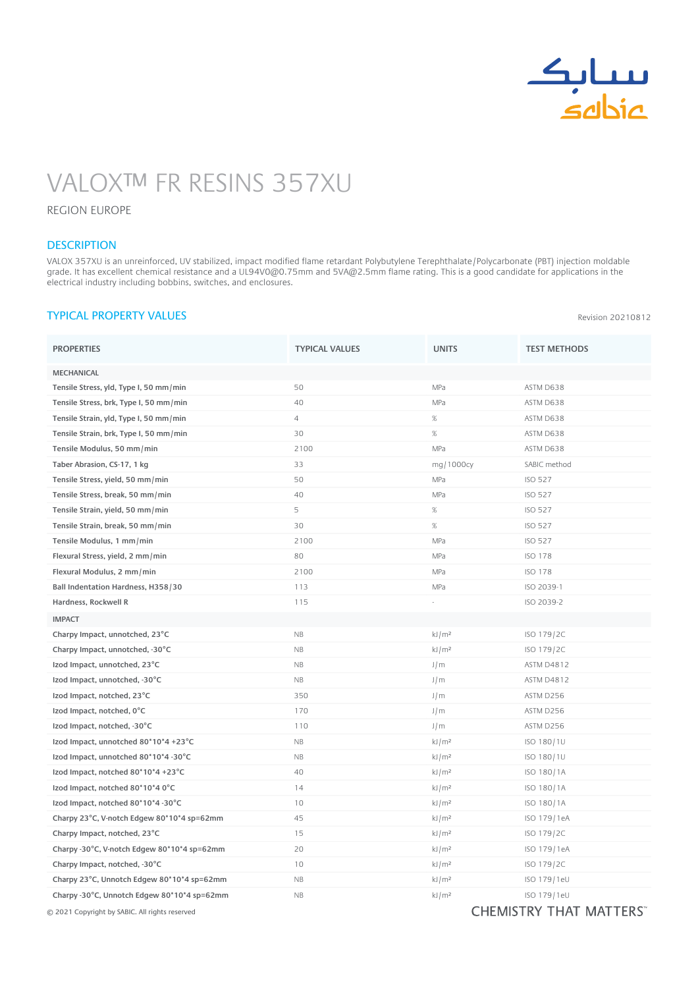# ســابک<br>عناهء

## VALOX™ FR RESINS 357XU

#### REGION EUROPE

#### **DESCRIPTION**

VALOX 357XU is an unreinforced, UV stabilized, impact modified flame retardant Polybutylene Terephthalate/Polycarbonate (PBT) injection moldable grade. It has excellent chemical resistance and a UL94V0@0.75mm and 5VA@2.5mm flame rating. This is a good candidate for applications in the electrical industry including bobbins, switches, and enclosures.

#### TYPICAL PROPERTY VALUES

| <b>PROPERTIES</b>                              | <b>TYPICAL VALUES</b> | <b>UNITS</b>      | <b>TEST METHODS</b>            |
|------------------------------------------------|-----------------------|-------------------|--------------------------------|
| MECHANICAL                                     |                       |                   |                                |
| Tensile Stress, yld, Type I, 50 mm/min         | 50                    | MPa               | ASTM D638                      |
| Tensile Stress, brk, Type I, 50 mm/min         | 40                    | MPa               | ASTM D638                      |
| Tensile Strain, yld, Type I, 50 mm/min         | $\overline{4}$        | $\%$              | ASTM D638                      |
| Tensile Strain, brk, Type I, 50 mm/min         | 30                    | $\%$              | ASTM D638                      |
| Tensile Modulus, 50 mm/min                     | 2100                  | MPa               | ASTM D638                      |
| Taber Abrasion, CS-17, 1 kg                    | 33                    | mg/1000cy         | SABIC method                   |
| Tensile Stress, yield, 50 mm/min               | 50                    | MPa               | <b>ISO 527</b>                 |
| Tensile Stress, break, 50 mm/min               | 40                    | MPa               | <b>ISO 527</b>                 |
| Tensile Strain, yield, 50 mm/min               | 5                     | $\%$              | <b>ISO 527</b>                 |
| Tensile Strain, break, 50 mm/min               | 30                    | $\%$              | <b>ISO 527</b>                 |
| Tensile Modulus, 1 mm/min                      | 2100                  | MPa               | <b>ISO 527</b>                 |
| Flexural Stress, yield, 2 mm/min               | 80                    | MPa               | <b>ISO 178</b>                 |
| Flexural Modulus, 2 mm/min                     | 2100                  | MPa               | <b>ISO 178</b>                 |
| Ball Indentation Hardness, H358/30             | 113                   | MPa               | ISO 2039-1                     |
| Hardness, Rockwell R                           | 115                   |                   | ISO 2039-2                     |
| <b>IMPACT</b>                                  |                       |                   |                                |
| Charpy Impact, unnotched, 23°C                 | $\mathsf{NB}$         | kJ/m <sup>2</sup> | ISO 179/2C                     |
| Charpy Impact, unnotched, -30°C                | $\mathsf{NB}$         | kJ/m <sup>2</sup> | ISO 179/2C                     |
| Izod Impact, unnotched, 23°C                   | $\mathsf{NB}$         | J/m               | <b>ASTM D4812</b>              |
| Izod Impact, unnotched, -30°C                  | NB                    | J/m               | <b>ASTM D4812</b>              |
| Izod Impact, notched, 23°C                     | 350                   | J/m               | ASTM D256                      |
| Izod Impact, notched, 0°C                      | 170                   | J/m               | ASTM D256                      |
| Izod Impact, notched, -30°C                    | 110                   | J/m               | ASTM D256                      |
| Izod Impact, unnotched 80*10*4 +23°C           | $\mathsf{NB}$         | kJ/m <sup>2</sup> | ISO 180/1U                     |
| Izod Impact, unnotched 80*10*4 -30°C           | $\mathsf{NB}$         | kJ/m <sup>2</sup> | ISO 180/1U                     |
| Izod Impact, notched 80*10*4 +23°C             | 40                    | kJ/m <sup>2</sup> | ISO 180/1A                     |
| Izod Impact, notched 80*10*4 0°C               | 14                    | kJ/m <sup>2</sup> | ISO 180/1A                     |
| Izod Impact, notched 80*10*4 -30°C             | 10                    | kJ/m <sup>2</sup> | ISO 180/1A                     |
| Charpy 23°C, V-notch Edgew 80*10*4 sp=62mm     | 45                    | kJ/m <sup>2</sup> | ISO 179/1eA                    |
| Charpy Impact, notched, 23°C                   | 15                    | kJ/m <sup>2</sup> | ISO 179/2C                     |
| Charpy -30°C, V-notch Edgew 80*10*4 sp=62mm    | 20                    | kJ/m <sup>2</sup> | ISO 179/1eA                    |
| Charpy Impact, notched, -30°C                  | 10                    | kJ/m <sup>2</sup> | ISO 179/2C                     |
| Charpy 23°C, Unnotch Edgew 80*10*4 sp=62mm     | $\mathsf{NB}$         | kJ/m <sup>2</sup> | ISO 179/1eU                    |
| Charpy -30°C, Unnotch Edgew 80*10*4 sp=62mm    | $\mathsf{NB}$         | kJ/m <sup>2</sup> | ISO 179/1eU                    |
| © 2021 Copyright by SABIC. All rights reserved |                       |                   | <b>CHEMISTRY THAT MATTERS®</b> |
|                                                |                       |                   |                                |
|                                                |                       |                   |                                |
|                                                |                       |                   |                                |
|                                                |                       |                   |                                |
|                                                |                       |                   |                                |
|                                                |                       |                   |                                |
|                                                |                       |                   |                                |
|                                                |                       |                   |                                |
|                                                |                       |                   |                                |
|                                                |                       |                   |                                |
|                                                |                       |                   |                                |
|                                                |                       |                   |                                |
|                                                |                       |                   |                                |
|                                                |                       |                   |                                |
|                                                |                       |                   |                                |
|                                                |                       |                   |                                |
|                                                |                       |                   |                                |
|                                                |                       |                   |                                |
|                                                |                       |                   |                                |
|                                                |                       |                   |                                |
|                                                |                       |                   |                                |
|                                                |                       |                   |                                |
|                                                |                       |                   |                                |
|                                                |                       |                   |                                |
|                                                |                       |                   |                                |
|                                                |                       |                   |                                |
|                                                |                       |                   |                                |
|                                                |                       |                   |                                |
|                                                |                       |                   |                                |
|                                                |                       |                   |                                |
|                                                |                       |                   |                                |
|                                                |                       |                   |                                |
|                                                |                       |                   |                                |
|                                                |                       |                   |                                |
|                                                |                       |                   |                                |
|                                                |                       |                   |                                |
|                                                |                       |                   |                                |
|                                                |                       |                   |                                |
|                                                |                       |                   |                                |
|                                                |                       |                   |                                |
|                                                |                       |                   |                                |
|                                                |                       |                   |                                |
|                                                |                       |                   |                                |
|                                                |                       |                   |                                |
|                                                |                       |                   |                                |
|                                                |                       |                   |                                |
|                                                |                       |                   |                                |
|                                                |                       |                   |                                |
|                                                |                       |                   |                                |
|                                                |                       |                   |                                |
|                                                |                       |                   |                                |
|                                                |                       |                   |                                |
|                                                |                       |                   |                                |
|                                                |                       |                   |                                |
|                                                |                       |                   |                                |
|                                                |                       |                   |                                |
|                                                |                       |                   |                                |
|                                                |                       |                   |                                |
|                                                |                       |                   |                                |
|                                                |                       |                   |                                |
|                                                |                       |                   |                                |
|                                                |                       |                   |                                |
|                                                |                       |                   |                                |
|                                                |                       |                   |                                |
|                                                |                       |                   |                                |
|                                                |                       |                   |                                |
|                                                |                       |                   |                                |
|                                                |                       |                   |                                |
|                                                |                       |                   |                                |
|                                                |                       |                   |                                |

Revision 20210812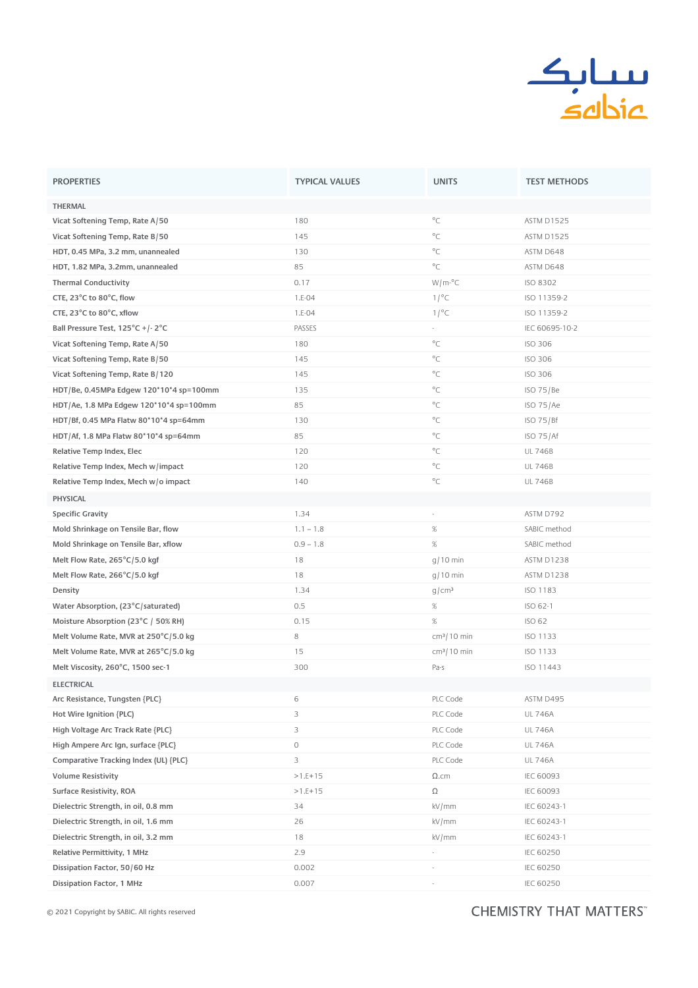

| <b>PROPERTIES</b>                       | <b>TYPICAL VALUES</b> | <b>UNITS</b>             | <b>TEST METHODS</b> |
|-----------------------------------------|-----------------------|--------------------------|---------------------|
| <b>THERMAL</b>                          |                       |                          |                     |
| Vicat Softening Temp, Rate A/50         | 180                   | $^{\circ}$ C             | ASTM D1525          |
| Vicat Softening Temp, Rate B/50         | 145                   | $^{\circ}$ C             | ASTM D1525          |
| HDT, 0.45 MPa, 3.2 mm, unannealed       | 130                   | $^{\circ}$ C             | ASTM D648           |
| HDT, 1.82 MPa, 3.2mm, unannealed        | 85                    | $^{\circ}$ C             | ASTM D648           |
| <b>Thermal Conductivity</b>             | 0.17                  | $W/m$ <sup>-°</sup> C    | ISO 8302            |
| CTE, 23°C to 80°C, flow                 | 1.E-04                | 1/°C                     | ISO 11359-2         |
| CTE, 23°C to 80°C, xflow                | 1.E-04                | 1/°C                     | ISO 11359-2         |
| Ball Pressure Test, 125°C +/-2°C        | PASSES                | $\overline{\phantom{a}}$ | IEC 60695-10-2      |
| Vicat Softening Temp, Rate A/50         | 180                   | $^{\circ}$ C             | <b>ISO 306</b>      |
| Vicat Softening Temp, Rate B/50         | 145                   | $^{\circ}$ C             | <b>ISO 306</b>      |
| Vicat Softening Temp, Rate B/120        | 145                   | $^{\circ}$ C             | <b>ISO 306</b>      |
| HDT/Be, 0.45MPa Edgew 120*10*4 sp=100mm | 135                   | $^{\circ}$ C             | ISO 75/Be           |
| HDT/Ae, 1.8 MPa Edgew 120*10*4 sp=100mm | 85                    | $^{\circ}$ C             | ISO 75/Ae           |
| HDT/Bf, 0.45 MPa Flatw 80*10*4 sp=64mm  | 130                   | $^{\circ}$ C             | ISO 75/Bf           |
| HDT/Af, 1.8 MPa Flatw 80*10*4 sp=64mm   | 85                    | $^{\circ}$ C             | ISO 75/Af           |
| Relative Temp Index, Elec               | 120                   | $^{\circ}$ C             | <b>UL 746B</b>      |
| Relative Temp Index, Mech w/impact      | 120                   | $^{\circ}$ C             | <b>UL 746B</b>      |
| Relative Temp Index, Mech w/o impact    | 140                   | $^{\circ}$ C             | <b>UL 746B</b>      |
| <b>PHYSICAL</b>                         |                       |                          |                     |
| <b>Specific Gravity</b>                 | 1.34                  |                          | ASTM D792           |
| Mold Shrinkage on Tensile Bar, flow     | $1.1 - 1.8$           | $\%$                     | SABIC method        |
| Mold Shrinkage on Tensile Bar, xflow    | $0.9 - 1.8$           | $\%$                     | SABIC method        |
| Melt Flow Rate, 265°C/5.0 kgf           | 18                    | $g/10$ min               | ASTM D1238          |
| Melt Flow Rate, 266°C/5.0 kgf           | 18                    | $g/10$ min               | ASTM D1238          |
| Density                                 | 1.34                  | g/cm <sup>3</sup>        | <b>ISO 1183</b>     |
| Water Absorption, (23°C/saturated)      | 0.5                   | $\%$                     | ISO 62-1            |
| Moisture Absorption (23°C / 50% RH)     | 0.15                  | $\%$                     | <b>ISO 62</b>       |
| Melt Volume Rate, MVR at 250°C/5.0 kg   | 8                     | $cm3/10$ min             | <b>ISO 1133</b>     |
| Melt Volume Rate, MVR at 265°C/5.0 kg   | 15                    | $cm3/10$ min             | <b>ISO 1133</b>     |
| Melt Viscosity, 260°C, 1500 sec-1       | 300                   | Pa-s                     | ISO 11443           |
| <b>ELECTRICAL</b>                       |                       |                          |                     |
| Arc Resistance, Tungsten {PLC}          | 6                     | PLC Code                 | ASTM D495           |
| Hot Wire Ignition {PLC)                 | 3                     | PLC Code                 | <b>UL 746A</b>      |
| High Voltage Arc Track Rate {PLC}       | 3                     | PLC Code                 | <b>UL 746A</b>      |
| High Ampere Arc Ign, surface {PLC}      | $\mathsf{O}\xspace$   | PLC Code                 | <b>UL 746A</b>      |
| Comparative Tracking Index (UL) {PLC}   | 3                     | PLC Code                 | <b>UL 746A</b>      |
| <b>Volume Resistivity</b>               | $>1.E+15$             | $\Omega$ .cm             | <b>IEC 60093</b>    |
| Surface Resistivity, ROA                | $>1.E+15$             | Ω                        | <b>IEC 60093</b>    |
| Dielectric Strength, in oil, 0.8 mm     | 34                    | kV/mm                    | IEC 60243-1         |
| Dielectric Strength, in oil, 1.6 mm     | 26                    | kV/mm                    | IEC 60243-1         |
| Dielectric Strength, in oil, 3.2 mm     | 18                    | kV/mm                    | IEC 60243-1         |
| Relative Permittivity, 1 MHz            | 2.9                   |                          | <b>IEC 60250</b>    |
| Dissipation Factor, 50/60 Hz            | 0.002                 |                          | <b>IEC 60250</b>    |
| Dissipation Factor, 1 MHz               | 0.007                 | $\overline{\phantom{a}}$ | <b>IEC 60250</b>    |

 $\odot$  2021 Copyright by SABIC. All rights reserved<br> $\odot$  2021 Copyright by SABIC. All rights reserved

### $\circ$  2021 Copyright by SABIC. All rights reserved  $\blacksquare$